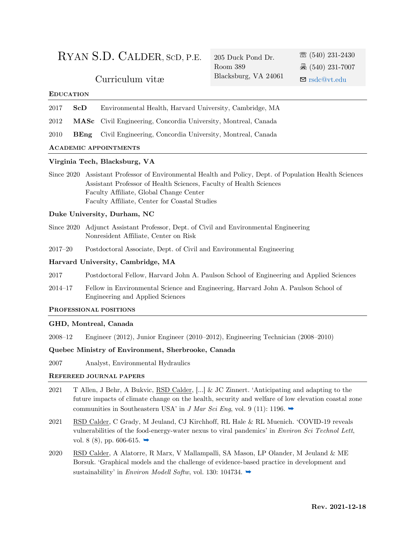# RYAN S.D. CALDER, <sup>S</sup>CD, P.E. 205 Duck Pond Dr.

Room 389 Blacksburg, VA 24061 ☏ (540) 231-2430 昌 $(540)$  231-7007 Curriculum vitæ Blacksburg, VA 24061  $\blacksquare$  [rsdc@vt.edu](mailto:rsdc@vt.edu)

### **EDUCATION**

| 2017 ScD | Environmental Health, Harvard University, Cambridge, MA |  |
|----------|---------------------------------------------------------|--|
|          |                                                         |  |

2012 **MASc** Civil Engineering, Concordia University, Montreal, Canada

2010 **BEng** Civil Engineering, Concordia University, Montreal, Canada

#### **ACADEMIC APPOINTMENTS**

#### **Virginia Tech, Blacksburg, VA**

Since 2020 Assistant Professor of Environmental Health and Policy, Dept. of Population Health Sciences Assistant Professor of Health Sciences, Faculty of Health Sciences Faculty Affiliate, Global Change Center Faculty Affiliate, Center for Coastal Studies

#### **Duke University, Durham, NC**

- Since 2020 Adjunct Assistant Professor, Dept. of Civil and Environmental Engineering Nonresident Affiliate, Center on Risk
- 2017–20 Postdoctoral Associate, Dept. of Civil and Environmental Engineering

### **Harvard University, Cambridge, MA**

- 2017 Postdoctoral Fellow, Harvard John A. Paulson School of Engineering and Applied Sciences
- 2014–17 Fellow in Environmental Science and Engineering, Harvard John A. Paulson School of Engineering and Applied Sciences

#### **PROFESSIONAL POSITIONS**

#### **GHD, Montreal, Canada**

2008–12 Engineer (2012), Junior Engineer (2010–2012), Engineering Technician (2008–2010)

### **Quebec Ministry of Environment, Sherbrooke, Canada**

2007 Analyst, Environmental Hydraulics

### **REFEREED JOURNAL PAPERS**

- 2021 T Allen, J Behr, A Bukvic, RSD Calder, [...] & JC Zinnert. 'Anticipating and adapting to the future impacts of climate change on the health, security and welfare of low elevation coastal zone communities in Southeastern USA' in *J Mar Sci Eng*, vol. 9 (11): 1196.  $\rightarrow$
- 2021 RSD Calder, C Grady, M Jeuland, CJ Kirchhoff, RL Hale & RL Muenich. 'COVID-19 reveals vulnerabilities of the food-energy-water nexus to viral pandemics' in *Environ Sci Technol Lett*, vol. 8 (8), pp. 606-615.  $\rightarrow$
- 2020 RSD Calder, A Alatorre, R Marx, V Mallampalli, SA Mason, LP Olander, M Jeuland & ME Borsuk. 'Graphical models and the challenge of evidence-based practice in development and sustainability' in *Environ Modell Softw*, vol. 130: 104734. ➡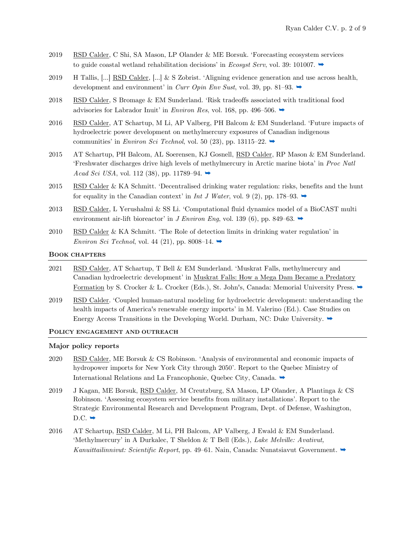- 2019 RSD Calder, C Shi, SA Mason, LP Olander & ME Borsuk. 'Forecasting ecosystem services to guide coastal wetland rehabilitation decisions' in *Ecosyst Serv*, vol. 39: 101007.  $\rightarrow$
- 2019 H Tallis, [...] RSD Calder, [...] & S Zobrist. 'Aligning evidence generation and use across health, development and environment' in *Curr Opin Env Sust*, vol. 39, pp. 81–93. **→**
- 2018 RSD Calder, S Bromage & EM Sunderland. 'Risk tradeoffs associated with traditional food advisories for Labrador Inuit' in *Environ Res*, vol. 168, pp. 496–506.  $\rightarrow$
- 2016 RSD Calder, AT Schartup, M Li, AP Valberg, PH Balcom & EM Sunderland. 'Future impacts of hydroelectric power development on methylmercury exposures of Canadian indigenous communities' in *Environ Sci Technol*, vol. 50 (23), pp. 13115–22.  $\rightarrow$
- 2015 AT Schartup, PH Balcom, AL Soerensen, KJ Gosnell, RSD Calder, RP Mason & EM Sunderland. 'Freshwater discharges drive high levels of methylmercury in Arctic marine biota' in *Proc Natl Acad Sci USA*, vol. 112 (38), pp. 11789–94. ➡
- 2015 RSD Calder & KA Schmitt. 'Decentralised drinking water regulation: risks, benefits and the hunt for equality in the Canadian context' in *Int J Water*, vol. 9 (2), pp. 178–93.  $\rightarrow$
- 2013 RSD Calder, L Yerushalmi & SS Li. 'Computational fluid dynamics model of a BioCAST multi environment air-lift bioreactor' in *J Environ Eng*, vol. 139 (6), pp. 849–63.  $\rightarrow$
- 2010 RSD Calder & KA Schmitt. 'The Role of detection limits in drinking water regulation' in *Environ Sci Technol*, vol. 44 (21), pp. 8008–14.  $\rightarrow$

#### **BOOK CHAPTERS**

- 2021 RSD Calder, AT Schartup, T Bell & EM Sunderland. 'Muskrat Falls, methylmercury and Canadian hydroelectric development' in Muskrat Falls: How a Mega Dam Became a Predatory Formation by S. Crocker & L. Crocker (Eds.), St. John's, Canada: Memorial University Press.  $\rightarrow$
- 2019 RSD Calder. 'Coupled human-natural modeling for hydroelectric development: understanding the health impacts of America's renewable energy imports' in M. Valerino (Ed.). Case Studies on Energy Access Transitions in the Developing World. Durham, NC: Duke University.  $\rightarrow$

#### **POLICY ENGAGEMENT AND OUTREACH**

#### **Major policy reports**

- 2020 RSD Calder, ME Borsuk & CS Robinson. 'Analysis of environmental and economic impacts of hydropower imports for New York City through 2050'. Report to the Quebec Ministry of International Relations and La Francophonie, Quebec City, Canada. [➥](https://www.researchgate.net/publication/344636822_Analysis_of_environmental_and_economic_impacts_of_hydropower_imports_for_New_York_City_through_2050)
- 2019 J Kagan, ME Borsuk, RSD Calder, M Creutzburg, SA Mason, LP Olander, A Plantinga & CS Robinson. 'Assessing ecosystem service benefits from military installations'. Report to the Strategic Environmental Research and Development Program, Dept. of Defense, Washington,  $D.C. \rightarrow$
- 2016 AT Schartup, RSD Calder, M Li, PH Balcom, AP Valberg, J Ewald & EM Sunderland. 'Methylmercury' in A Durkalec, T Sheldon & T Bell (Eds.), *Lake Melville: Avativut, Kanuittailinnivut: Scientific Report*, pp. 49–61. Nain, Canada: Nunatsiavut Government. [➥](https://sites.duke.edu/calder/files/2018/06/ScienceReport-low1.pdf)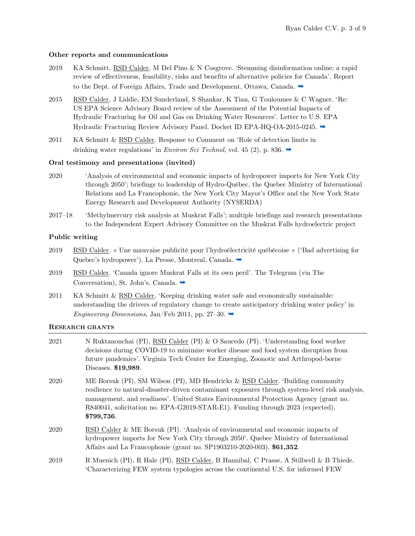### **Other reports and communications**

- 2019 KA Schmitt, RSD Calder, M Del Pino & N Cosgrove. 'Stemming disinformation online: a rapid review of effectiveness, feasibility, risks and benefits of alternative policies for Canada'. Report to the Dept. of Foreign Affairs, Trade and Development, Ottawa, Canada.  $\rightarrow$
- 2015 RSD Calder, J Liddie, EM Sunderland, S Shankar, K Tian, G Touloumes & C Wagner. 'Re: US EPA Science Advisory Board review of the Assessment of the Potential Impacts of Hydraulic Fracturing for Oil and Gas on Drinking Water Resources'. Letter to U.S. EPA Hydraulic Fracturing Review Advisory Panel. Docket ID EPA-HQ-OA-2015-0245. [➥](https://sites.duke.edu/calder/files/2019/04/Comment.pdf)
- 2011 KA Schmitt & RSD Calder. Response to Comment on 'Role of detection limits in drinking water regulations' in *Environ Sci Technol*, vol. 45 (2), p. 836.  $\rightarrow$

### **Oral testimony and presentations (invited)**

- 2020 'Analysis of environmental and economic impacts of hydropower imports for New York City through 2050'; briefings to leadership of Hydro-Québec, the Quebec Ministry of International Relations and La Francophonie, the New York City Mayor's Office and the New York State Energy Research and Development Authority (NYSERDA)
- 2017–18 'Methylmercury risk analysis at Muskrat Falls'; multiple briefings and research presentations to the Independent Expert Advisory Committee on the Muskrat Falls hydroelectric project

### **Public writing**

- 2019 RSD Calder. « Une mauvaise publicité pour l'hydroélectricité québécoise » ('Bad advertising for Quebec's hydropower'). La Presse, Montreal, Canada. →
- 2019 RSD Calder. 'Canada ignore Muskrat Falls at its own peril'. The Telegram (via The Conversation), St. John's, Canada. →
- 2011 KA Schmitt & RSD Calder. 'Keeping drinking water safe and economically sustainable: understanding the drivers of regulatory change to create anticipatory drinking water policy' in *Engineering Dimensions,* Jan/Feb 2011, pp. 27–30.  $\rightarrow$

### **RESEARCH GRANTS**

| 2021 | N Ruktanonchai (PI), RSD Calder (PI) & O Saucedo (PI). 'Understanding food worker<br>decisions during COVID-19 to minimize worker disease and food system disruption from<br>future pandemics'. Virginia Tech Center for Emerging, Zoonotic and Arthropod-borne<br>Diseases. \$19,989.                                                                                    |
|------|---------------------------------------------------------------------------------------------------------------------------------------------------------------------------------------------------------------------------------------------------------------------------------------------------------------------------------------------------------------------------|
| 2020 | ME Borsuk (PI), SM Wilson (PI), MD Hendricks & RSD Calder. 'Building community<br>resilience to natural-disaster-driven contaminant exposures through system-level risk analysis,<br>management, and readiness'. United States Environmental Protection Agency (grant no.<br>R840041, solicitation no. EPA-G2019-STAR-E1). Funding through 2023 (expected).<br>\$799,736. |
| 2020 | RSD Calder & ME Borsuk (PI). 'Analysis of environmental and economic impacts of<br>hydropower imports for New York City through 2050'. Quebec Ministry of International<br>Affairs and La Francophonie (grant no. SP1903210-2020-003). \$61,352.                                                                                                                          |
| 2019 | R Muenich (PI), R Hale (PI), RSD Calder, B Hannibal, C Prasse, A Stillwell & B Thiede.<br>Characterizing FEW system typologies across the continental U.S. for informed FEW                                                                                                                                                                                               |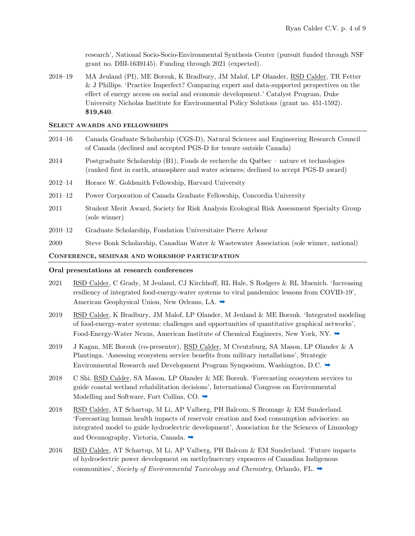research', National Socio-Socio-Environmental Synthesis Center (pursuit funded through NSF grant no. DBI-1639145). Funding through 2021 (expected).

2018–19 MA Jeuland (PI), ME Borsuk, K Bradbury, JM Malof, LP Olander, RSD Calder, TR Fetter & J Phillips. 'Practice Imperfect? Comparing expert and data-supported perspectives on the effect of energy access on social and economic development.' Catalyst Program, Duke University Nicholas Institute for Environmental Policy Solutions (grant no. 451-1592). **\$19,840**.

### **SELECT AWARDS AND FELLOWSHIPS**

- 2014–16 Canada Graduate Scholarship (CGS-D), Natural Sciences and Engineering Research Council of Canada (declined and accepted PGS-D for tenure outside Canada)
- 2014 Postgraduate Scholarship (B1), Fonds de recherche du Québec nature et technologies (ranked first in earth, atmosphere and water sciences; declined to accept PGS-D award)
- 2012–14 Horace W. Goldsmith Fellowship, Harvard University
- 2011–12 Power Corporation of Canada Graduate Fellowship, Concordia University
- 2011 Student Merit Award, Society for Risk Analysis Ecological Risk Assessment Specialty Group (sole winner)
- 2010–12 Graduate Scholarship, Fondation Universitaire Pierre Arbour
- 2009 Steve Bonk Scholarship, Canadian Water & Wastewater Association (sole winner, national)

#### **CONFERENCE, SEMINAR AND WORKSHOP PARTICIPATION**

### **Oral presentations at research conferences**

- 2021 RSD Calder, C Grady, M Jeuland, CJ Kirchhoff, RL Hale, S Rodgers & RL Muenich. 'Increasing resiliency of integrated food-energy-water systems to viral pandemics: lessons from COVID-19', American Geophysical Union, New Orleans, LA. ➡
- 2019 RSD Calder, K Bradbury, JM Malof, LP Olander, M Jeuland & ME Borsuk. 'Integrated modeling of food-energy-water systems: challenges and opportunities of quantitative graphical networks', Food-Energy-Water Nexus, American Institute of Chemical Engineers, New York, NY. →
- 2019 J Kagan, ME Borsuk (co-presenter), RSD Calder, M Creutzburg, SA Mason, LP Olander & A Plantinga. 'Assessing ecosystem service benefits from military installations', Strategic Environmental Research and Development Program Symposium, Washington, D.C.  $\rightarrow$
- 2018 C Shi, RSD Calder, SA Mason, LP Olander & ME Borsuk. 'Forecasting ecosystem services to guide coastal wetland rehabilitation decisions', International Congress on Environmental Modelling and Software, Fort Collins, CO.  $\rightarrow$
- 2018 RSD Calder, AT Schartup, M Li, AP Valberg, PH Balcom, S Bromage & EM Sunderland. 'Forecasting human health impacts of reservoir creation and food consumption advisories: an integrated model to guide hydroelectric development', Association for the Sciences of Limnology and Oceanography, Victoria, Canada. ➡
- 2016 RSD Calder, AT Schartup, M Li, AP Valberg, PH Balcom & EM Sunderland. 'Future impacts of hydroelectric power development on methylmercury exposures of Canadian Indigenous communities', *Society of Environmental Toxicology and Chemistry*, Orlando, FL. [➥](https://sites.duke.edu/calder/files/2018/06/SETAC_2016_p141.pdf)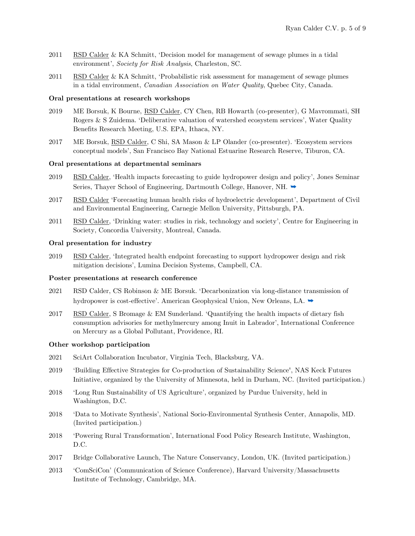- 2011 RSD Calder & KA Schmitt, 'Decision model for management of sewage plumes in a tidal environment', *Society for Risk Analysis*, Charleston, SC.
- 2011 RSD Calder & KA Schmitt, 'Probabilistic risk assessment for management of sewage plumes in a tidal environment, *Canadian Association on Water Quality*, Quebec City, Canada.

### **Oral presentations at research workshops**

- 2019 ME Borsuk, K Bourne, RSD Calder, CY Chen, RB Howarth (co-presenter), G Mavrommati, SH Rogers & S Zuidema. 'Deliberative valuation of watershed ecosystem services', Water Quality Benefits Research Meeting, U.S. EPA, Ithaca, NY.
- 2017 ME Borsuk, RSD Calder, C Shi, SA Mason & LP Olander (co-presenter). 'Ecosystem services conceptual models', San Francisco Bay National Estuarine Research Reserve, Tiburon, CA.

#### **Oral presentations at departmental seminars**

- 2019 RSD Calder, 'Health impacts forecasting to guide hydropower design and policy', Jones Seminar Series, Thayer School of Engineering, Dartmouth College, Hanover, NH. →
- 2017 RSD Calder 'Forecasting human health risks of hydroelectric development', Department of Civil and Environmental Engineering, Carnegie Mellon University, Pittsburgh, PA.
- 2011 RSD Calder, 'Drinking water: studies in risk, technology and society', Centre for Engineering in Society, Concordia University, Montreal, Canada.

#### **Oral presentation for industry**

2019 RSD Calder, 'Integrated health endpoint forecasting to support hydropower design and risk mitigation decisions', Lumina Decision Systems, Campbell, CA.

#### **Poster presentations at research conference**

- 2021 RSD Calder, CS Robinson & ME Borsuk. 'Decarbonization via long-distance transmission of hydropower is cost-effective'. American Geophysical Union, New Orleans, LA. ➡
- 2017 RSD Calder, S Bromage & EM Sunderland. 'Quantifying the health impacts of dietary fish consumption advisories for methylmercury among Inuit in Labrador', International Conference on Mercury as a Global Pollutant, Providence, RI.

#### **Other workshop participation**

- 2021 SciArt Collaboration Incubator, Virginia Tech, Blacksburg, VA.
- 2019 'Building Effective Strategies for Co-production of Sustainability Science', NAS Keck Futures Initiative, organized by the University of Minnesota, held in Durham, NC. (Invited participation.)
- 2018 'Long Run Sustainability of US Agriculture', organized by Purdue University, held in Washington, D.C.
- 2018 'Data to Motivate Synthesis', National Socio-Environmental Synthesis Center, Annapolis, MD. (Invited participation.)
- 2018 'Powering Rural Transformation', International Food Policy Research Institute, Washington, D.C.
- 2017 Bridge Collaborative Launch, The Nature Conservancy, London, UK. (Invited participation.)
- 2013 'ComSciCon' (Communication of Science Conference), Harvard University/Massachusetts Institute of Technology, Cambridge, MA.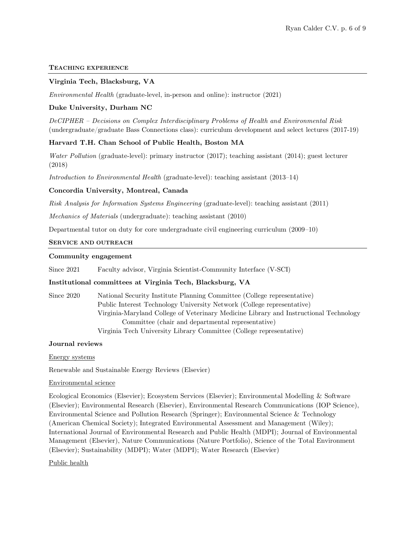### **TEACHING EXPERIENCE**

### **Virginia Tech, Blacksburg, VA**

*Environmental Health* (graduate-level, in-person and online): instructor (2021)

## **Duke University, Durham NC**

*DeCIPHER – Decisions on Complex Interdisciplinary Problems of Health and Environmental Risk* (undergraduate/graduate Bass Connections class): curriculum development and select lectures (2017-19)

### **Harvard T.H. Chan School of Public Health, Boston MA**

*Water Pollution* (graduate-level): primary instructor (2017); teaching assistant (2014); guest lecturer (2018)

*Introduction to Environmental Health* (graduate-level): teaching assistant (2013–14)

### **Concordia University, Montreal, Canada**

*Risk Analysis for Information Systems Engineering* (graduate-level): teaching assistant (2011)

*Mechanics of Materials* (undergraduate): teaching assistant (2010)

Departmental tutor on duty for core undergraduate civil engineering curriculum (2009–10)

### **SERVICE AND OUTREACH**

### **Community engagement**

Since 2021 Faculty advisor, Virginia Scientist-Community Interface (V-SCI)

### **Institutional committees at Virginia Tech, Blacksburg, VA**

Since 2020 National Security Institute Planning Committee (College representative) Public Interest Technology University Network (College representative) Virginia-Maryland College of Veterinary Medicine Library and Instructional Technology Committee (chair and departmental representative) Virginia Tech University Library Committee (College representative)

### **Journal reviews**

Energy systems

Renewable and Sustainable Energy Reviews (Elsevier)

### Environmental science

Ecological Economics (Elsevier); Ecosystem Services (Elsevier); Environmental Modelling & Software (Elsevier); Environmental Research (Elsevier), Environmental Research Communications (IOP Science), Environmental Science and Pollution Research (Springer); Environmental Science & Technology (American Chemical Society); Integrated Environmental Assessment and Management (Wiley); International Journal of Environmental Research and Public Health (MDPI); Journal of Environmental Management (Elsevier), Nature Communications (Nature Portfolio), Science of the Total Environment (Elsevier); Sustainability (MDPI); Water (MDPI); Water Research (Elsevier)

### Public health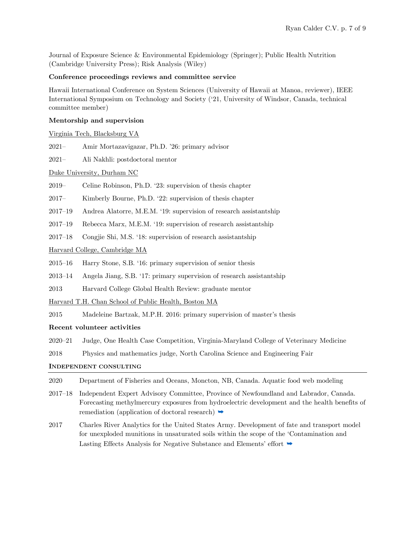Journal of Exposure Science & Environmental Epidemiology (Springer); Public Health Nutrition (Cambridge University Press); Risk Analysis (Wiley)

### **Conference proceedings reviews and committee service**

Hawaii International Conference on System Sciences (University of Hawaii at Manoa, reviewer), IEEE International Symposium on Technology and Society ('21, University of Windsor, Canada, technical committee member)

### **Mentorship and supervision**

Virginia Tech, Blacksburg VA

2021– Amir Mortazavigazar, Ph.D. '26: primary advisor

2021– Ali Nakhli: postdoctoral mentor

Duke University, Durham NC

2019– Celine Robinson, Ph.D. '23: supervision of thesis chapter

2017– Kimberly Bourne, Ph.D. '22: supervision of thesis chapter

2017–19 Andrea Alatorre, M.E.M. '19: supervision of research assistantship

2017–19 Rebecca Marx, M.E.M. '19: supervision of research assistantship

2017–18 Congjie Shi, M.S. '18: supervision of research assistantship

Harvard College, Cambridge MA

2015–16 Harry Stone, S.B. '16: primary supervision of senior thesis

2013–14 Angela Jiang, S.B. '17: primary supervision of research assistantship

2013 Harvard College Global Health Review: graduate mentor

Harvard T.H. Chan School of Public Health, Boston MA

2015 Madeleine Bartzak, M.P.H. 2016: primary supervision of master's thesis

### **Recent volunteer activities**

2020–21 Judge, One Health Case Competition, Virginia-Maryland College of Veterinary Medicine

2018 Physics and mathematics judge, North Carolina Science and Engineering Fair

### **INDEPENDENT CONSULTING**

- 2020 Department of Fisheries and Oceans, Moncton, NB, Canada. Aquatic food web modeling
- 2017–18 Independent Expert Advisory Committee, Province of Newfoundland and Labrador, Canada. Forecasting methylmercury exposures from hydroelectric development and the health benefits of remediation (application of doctoral research)  $\rightarrow$
- 2017 Charles River Analytics for the United States Army. Development of fate and transport model for unexploded munitions in unsaturated soils within the scope of the 'Contamination and Lasting Effects Analysis for Negative Substance and Elements' effort  $\rightarrow$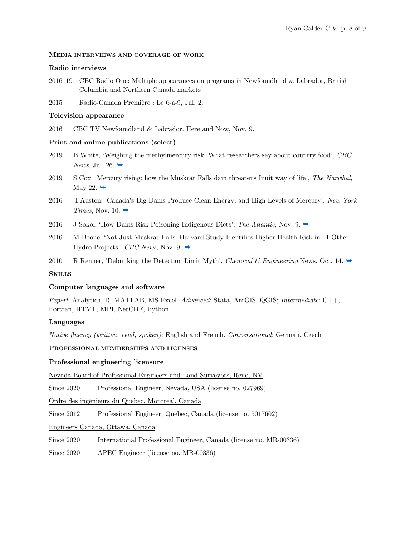### **MEDIA INTERVIEWS AND COVERAGE OF WORK**

### **Radio interviews**

2016–19 CBC Radio One: Multiple appearances on programs in Newfoundland & Labrador, British Columbia and Northern Canada markets

2015 Radio-Canada Première : Le 6-a-9, Jul. 2.

### **Television appearance**

2016 CBC TV Newfoundland & Labrador. Here and Now, Nov. 9.

### **Print and online publications (select)**

- 2019 B White, 'Weighing the methylmercury risk: What researchers say about country food', *CBC News*, Jul. 26.  $\rightarrow$
- 2019 S Cox, 'Mercury rising: how the Muskrat Falls dam threatens Inuit way of life', *The Narwhal*, May 22.  $\rightarrow$
- 2016 I Austen, 'Canada's Big Dams Produce Clean Energy, and High Levels of Mercury', *New York Times*, Nov. 10.  $\rightarrow$
- 2016 J Sokol, 'How Dams Risk Poisoning Indigenous Diets', *The Atlantic*, Nov. 9.
- 2016 M Boone, 'Not Just Muskrat Falls: Harvard Study Identifies Higher Health Risk in 11 Other Hydro Projects', *CBC News*, Nov. 9. [➥](https://www.cbc.ca/news/canada/newfoundland-labrador/harvard-research-hydroelectric-projects-methylmercury-1.2879212)
- 2010 R Renner, 'Debunking the Detection Limit Myth', *Chemical & Engineering* News, Oct. 14.  $\rightarrow$

### **SKILLS**

### **Computer languages and software**

*Expert*: Analytica, R, MATLAB, MS Excel. *Advanced*: Stata, ArcGIS, QGIS; *Intermediate*: C++, Fortran, HTML, MPI, NetCDF, Python

### **Languages**

*Native fluency (written, read, spoken)*: English and French. *Conversational*: German, Czech

### **PROFESSIONAL MEMBERSHIPS AND LICENSES**

### **Professional engineering licensure**

Nevada Board of Professional Engineers and Land Surveyors, Reno, NV

Since 2020 Professional Engineer, Nevada, USA (license no. 027969)

Ordre des ingénieurs du Québec, Montreal, Canada

Since 2012 Professional Engineer, Quebec, Canada (license no. 5017602)

Engineers Canada, Ottawa, Canada

Since 2020 International Professional Engineer, Canada (license no. MR-00336)

Since 2020 APEC Engineer (license no. MR-00336)